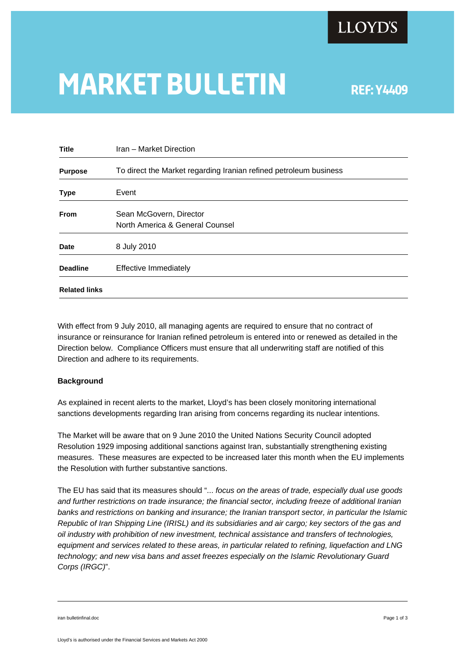

## **MARKET BULLETIN** REF: Y4409

| <b>Title</b>         | Iran - Market Direction                                           |
|----------------------|-------------------------------------------------------------------|
| <b>Purpose</b>       | To direct the Market regarding Iranian refined petroleum business |
| <b>Type</b>          | Event                                                             |
| <b>From</b>          | Sean McGovern, Director<br>North America & General Counsel        |
| <b>Date</b>          | 8 July 2010                                                       |
| <b>Deadline</b>      | <b>Effective Immediately</b>                                      |
| <b>Related links</b> |                                                                   |

With effect from 9 July 2010, all managing agents are required to ensure that no contract of insurance or reinsurance for Iranian refined petroleum is entered into or renewed as detailed in the Direction below. Compliance Officers must ensure that all underwriting staff are notified of this Direction and adhere to its requirements.

## **Background**

As explained in recent alerts to the market, Lloyd's has been closely monitoring international sanctions developments regarding Iran arising from concerns regarding its nuclear intentions.

The Market will be aware that on 9 June 2010 the United Nations Security Council adopted Resolution 1929 imposing additional sanctions against Iran, substantially strengthening existing measures. These measures are expected to be increased later this month when the EU implements the Resolution with further substantive sanctions.

The EU has said that its measures should "... *focus on the areas of trade, especially dual use goods and further restrictions on trade insurance; the financial sector, including freeze of additional Iranian banks and restrictions on banking and insurance; the Iranian transport sector, in particular the Islamic Republic of Iran Shipping Line (IRISL) and its subsidiaries and air cargo; key sectors of the gas and oil industry with prohibition of new investment, technical assistance and transfers of technologies, equipment and services related to these areas, in particular related to refining, liquefaction and LNG technology; and new visa bans and asset freezes especially on the Islamic Revolutionary Guard Corps (IRGC)*".

iran bulletinfinal.doc Page 1 of 3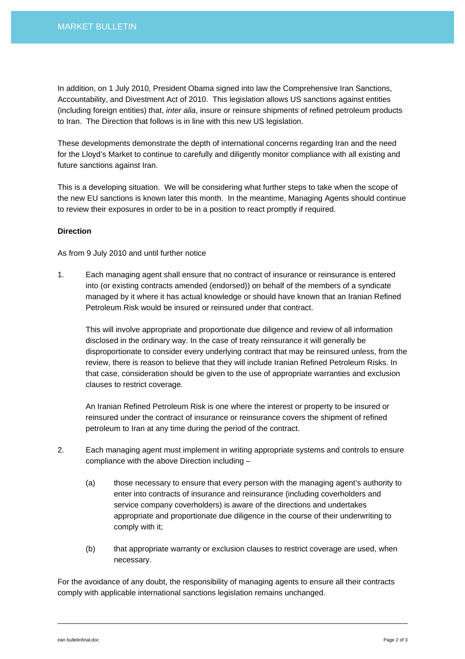In addition, on 1 July 2010, President Obama signed into law the Comprehensive Iran Sanctions, Accountability, and Divestment Act of 2010. This legislation allows US sanctions against entities (including foreign entities) that, *inter alia*, insure or reinsure shipments of refined petroleum products to Iran. The Direction that follows is in line with this new US legislation.

These developments demonstrate the depth of international concerns regarding Iran and the need for the Lloyd's Market to continue to carefully and diligently monitor compliance with all existing and future sanctions against Iran.

This is a developing situation. We will be considering what further steps to take when the scope of the new EU sanctions is known later this month. In the meantime, Managing Agents should continue to review their exposures in order to be in a position to react promptly if required.

## **Direction**

As from 9 July 2010 and until further notice

1. Each managing agent shall ensure that no contract of insurance or reinsurance is entered into (or existing contracts amended (endorsed)) on behalf of the members of a syndicate managed by it where it has actual knowledge or should have known that an Iranian Refined Petroleum Risk would be insured or reinsured under that contract.

This will involve appropriate and proportionate due diligence and review of all information disclosed in the ordinary way. In the case of treaty reinsurance it will generally be disproportionate to consider every underlying contract that may be reinsured unless, from the review, there is reason to believe that they will include Iranian Refined Petroleum Risks. In that case, consideration should be given to the use of appropriate warranties and exclusion clauses to restrict coverage.

An Iranian Refined Petroleum Risk is one where the interest or property to be insured or reinsured under the contract of insurance or reinsurance covers the shipment of refined petroleum to Iran at any time during the period of the contract.

- 2. Each managing agent must implement in writing appropriate systems and controls to ensure compliance with the above Direction including –
	- (a) those necessary to ensure that every person with the managing agent's authority to enter into contracts of insurance and reinsurance (including coverholders and service company coverholders) is aware of the directions and undertakes appropriate and proportionate due diligence in the course of their underwriting to comply with it;
	- (b) that appropriate warranty or exclusion clauses to restrict coverage are used, when necessary.

For the avoidance of any doubt, the responsibility of managing agents to ensure all their contracts comply with applicable international sanctions legislation remains unchanged.